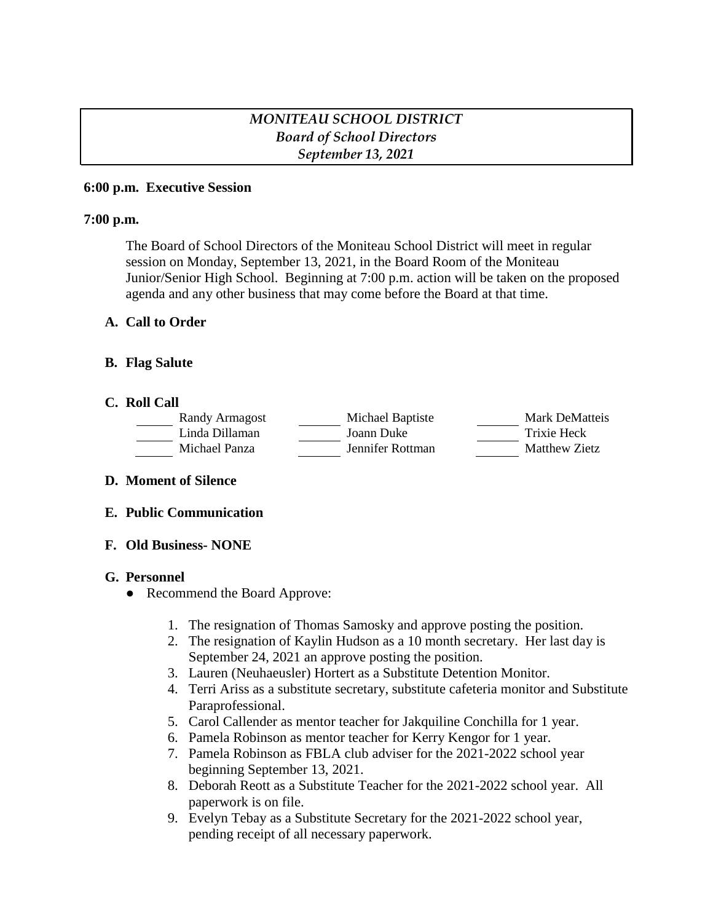# *MONITEAU SCHOOL DISTRICT Board of School Directors September 13, 2021*

#### **6:00 p.m. Executive Session**

### **7:00 p.m.**

The Board of School Directors of the Moniteau School District will meet in regular session on Monday, September 13, 2021, in the Board Room of the Moniteau Junior/Senior High School. Beginning at 7:00 p.m. action will be taken on the proposed agenda and any other business that may come before the Board at that time.

### **A. Call to Order**

### **B. Flag Salute**

#### **C. Roll Call**

| Randy Armagost | Michael Baptiste | Mark DeMatteis |
|----------------|------------------|----------------|
| Linda Dillaman | Joann Duke       | Trixie Heck    |
| Michael Panza  | Jennifer Rottman | Matthew Zietz  |

#### **D. Moment of Silence**

#### **E. Public Communication**

## **F. Old Business- NONE**

#### **G. Personnel**

- Recommend the Board Approve:
	- 1. The resignation of Thomas Samosky and approve posting the position.
	- 2. The resignation of Kaylin Hudson as a 10 month secretary. Her last day is September 24, 2021 an approve posting the position.
	- 3. Lauren (Neuhaeusler) Hortert as a Substitute Detention Monitor.
	- 4. Terri Ariss as a substitute secretary, substitute cafeteria monitor and Substitute Paraprofessional.
	- 5. Carol Callender as mentor teacher for Jakquiline Conchilla for 1 year.
	- 6. Pamela Robinson as mentor teacher for Kerry Kengor for 1 year.
	- 7. Pamela Robinson as FBLA club adviser for the 2021-2022 school year beginning September 13, 2021.
	- 8. Deborah Reott as a Substitute Teacher for the 2021-2022 school year. All paperwork is on file.
	- 9. Evelyn Tebay as a Substitute Secretary for the 2021-2022 school year, pending receipt of all necessary paperwork.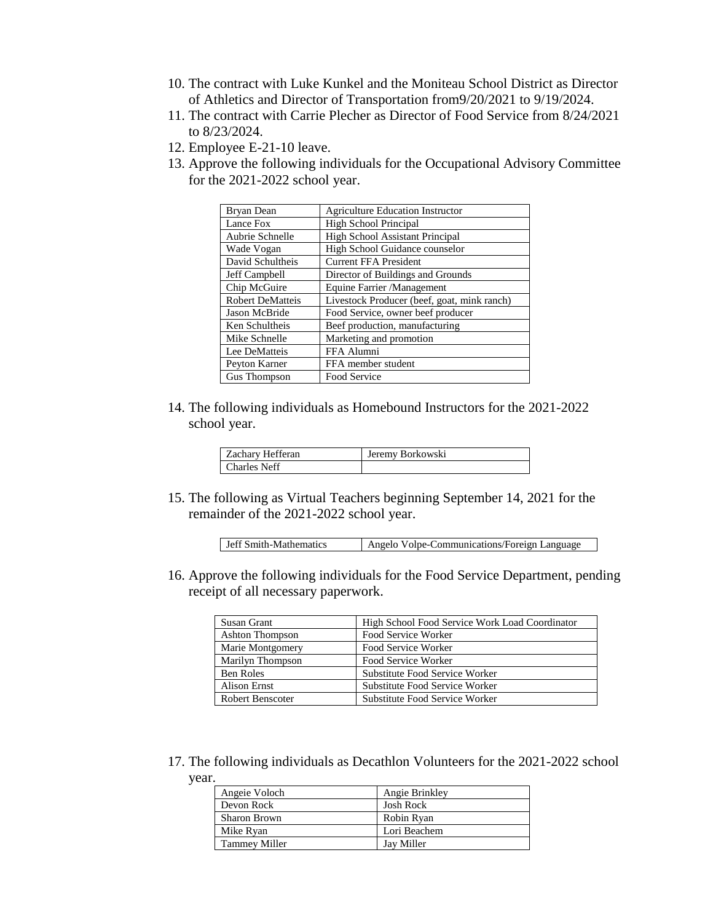- 10. The contract with Luke Kunkel and the Moniteau School District as Director of Athletics and Director of Transportation from9/20/2021 to 9/19/2024.
- 11. The contract with Carrie Plecher as Director of Food Service from 8/24/2021 to 8/23/2024.
- 12. Employee E-21-10 leave.
- 13. Approve the following individuals for the Occupational Advisory Committee for the 2021-2022 school year.

| Bryan Dean              | <b>Agriculture Education Instructor</b>     |
|-------------------------|---------------------------------------------|
| Lance Fox               | <b>High School Principal</b>                |
| Aubrie Schnelle         | <b>High School Assistant Principal</b>      |
| Wade Vogan              | High School Guidance counselor              |
| David Schultheis        | <b>Current FFA President</b>                |
| Jeff Campbell           | Director of Buildings and Grounds           |
| Chip McGuire            | Equine Farrier /Management                  |
| <b>Robert DeMatteis</b> | Livestock Producer (beef, goat, mink ranch) |
| Jason McBride           | Food Service, owner beef producer           |
| Ken Schultheis          | Beef production, manufacturing              |
| Mike Schnelle           | Marketing and promotion                     |
| Lee DeMatteis           | FFA Alumni                                  |
| Peyton Karner           | FFA member student                          |
| Gus Thompson            | Food Service                                |

14. The following individuals as Homebound Instructors for the 2021-2022 school year.

| Zachary Hefferan | Jeremy Borkowski |
|------------------|------------------|
| Charles Neff     |                  |

15. The following as Virtual Teachers beginning September 14, 2021 for the remainder of the 2021-2022 school year.

| <b>Jeff Smith-Mathematics</b> | Angelo Volpe-Communications/Foreign Language |
|-------------------------------|----------------------------------------------|
|                               |                                              |

16. Approve the following individuals for the Food Service Department, pending receipt of all necessary paperwork.

| Susan Grant      | High School Food Service Work Load Coordinator |
|------------------|------------------------------------------------|
| Ashton Thompson  | Food Service Worker                            |
| Marie Montgomery | Food Service Worker                            |
| Marilyn Thompson | Food Service Worker                            |
| Ben Roles        | Substitute Food Service Worker                 |
| Alison Ernst     | Substitute Food Service Worker                 |
| Robert Benscoter | Substitute Food Service Worker                 |

17. The following individuals as Decathlon Volunteers for the 2021-2022 school year.

| Angeie Voloch        | Angie Brinkley   |
|----------------------|------------------|
| Devon Rock           | <b>Josh Rock</b> |
| <b>Sharon Brown</b>  | Robin Ryan       |
| Mike Ryan            | Lori Beachem     |
| <b>Tammey Miller</b> | Jay Miller       |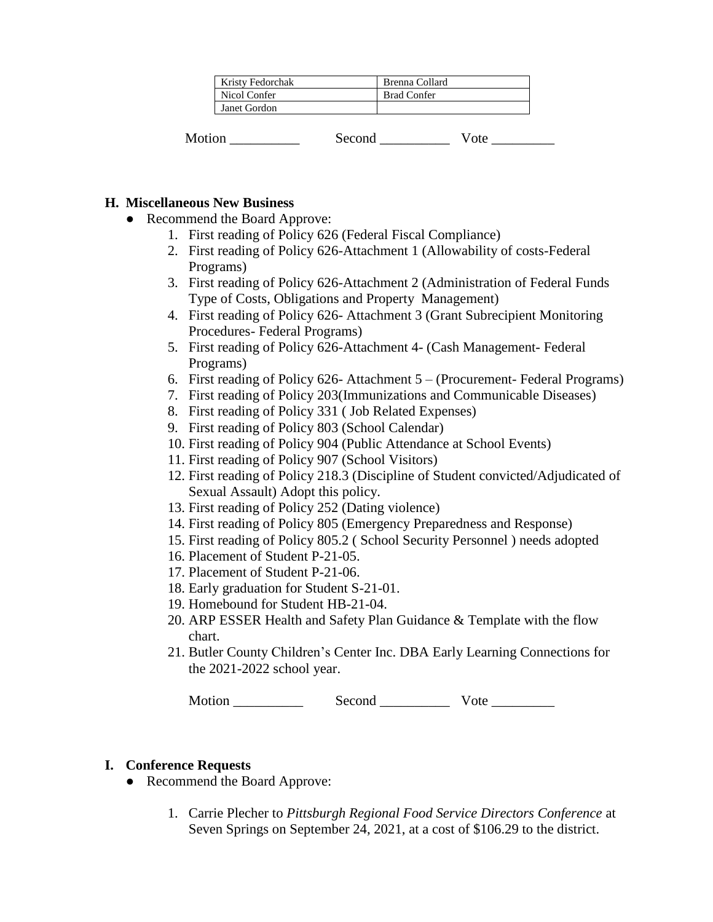| <b>Kristy Fedorchak</b> | Brenna Collard     |
|-------------------------|--------------------|
| Nicol Confer            | <b>Brad Confer</b> |
| Janet Gordon            |                    |

| Motion | Second | . |
|--------|--------|---|
|--------|--------|---|

### **H. Miscellaneous New Business**

- Recommend the Board Approve:
	- 1. First reading of Policy 626 (Federal Fiscal Compliance)
	- 2. First reading of Policy 626-Attachment 1 (Allowability of costs-Federal Programs)
	- 3. First reading of Policy 626-Attachment 2 (Administration of Federal Funds Type of Costs, Obligations and Property Management)
	- 4. First reading of Policy 626- Attachment 3 (Grant Subrecipient Monitoring Procedures- Federal Programs)
	- 5. First reading of Policy 626-Attachment 4- (Cash Management- Federal Programs)
	- 6. First reading of Policy 626- Attachment 5 (Procurement- Federal Programs)
	- 7. First reading of Policy 203(Immunizations and Communicable Diseases)
	- 8. First reading of Policy 331 ( Job Related Expenses)
	- 9. First reading of Policy 803 (School Calendar)
	- 10. First reading of Policy 904 (Public Attendance at School Events)
	- 11. First reading of Policy 907 (School Visitors)
	- 12. First reading of Policy 218.3 (Discipline of Student convicted/Adjudicated of Sexual Assault) Adopt this policy.
	- 13. First reading of Policy 252 (Dating violence)
	- 14. First reading of Policy 805 (Emergency Preparedness and Response)
	- 15. First reading of Policy 805.2 ( School Security Personnel ) needs adopted
	- 16. Placement of Student P-21-05.
	- 17. Placement of Student P-21-06.
	- 18. Early graduation for Student S-21-01.
	- 19. Homebound for Student HB-21-04.
	- 20. ARP ESSER Health and Safety Plan Guidance & Template with the flow chart.
	- 21. Butler County Children's Center Inc. DBA Early Learning Connections for the 2021-2022 school year.

Motion Second Vote Vote

## **I. Conference Requests**

- Recommend the Board Approve:
	- 1. Carrie Plecher to *Pittsburgh Regional Food Service Directors Conference* at Seven Springs on September 24, 2021, at a cost of \$106.29 to the district.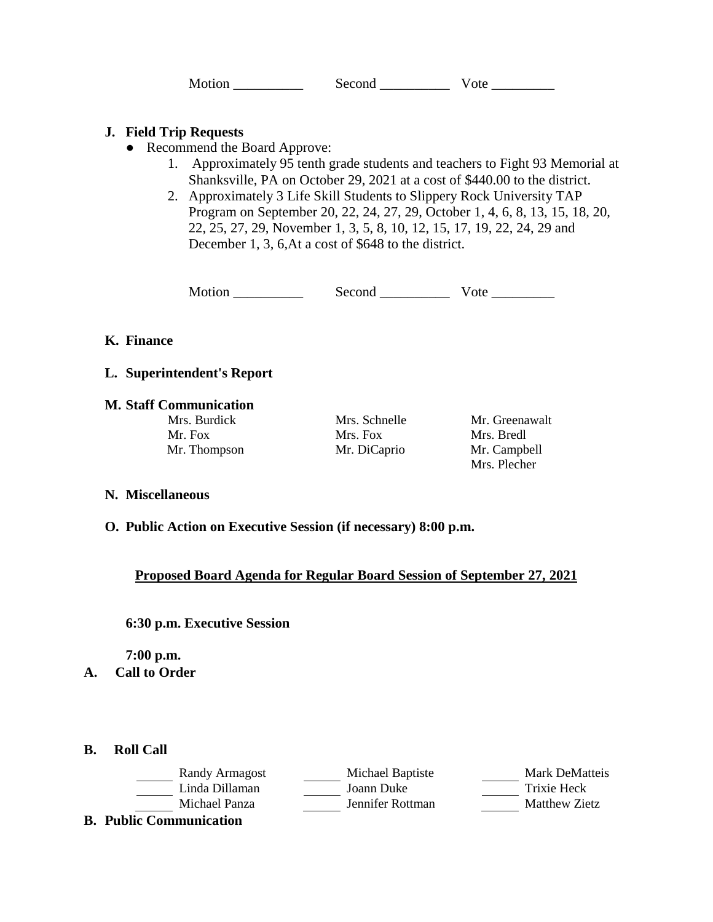Motion \_\_\_\_\_\_\_\_\_\_\_\_\_\_\_ Second \_\_\_\_\_\_\_\_\_\_\_\_ Vote \_\_\_\_\_\_\_\_\_\_

### **J. Field Trip Requests**

- Recommend the Board Approve:
	- 1. Approximately 95 tenth grade students and teachers to Fight 93 Memorial at Shanksville, PA on October 29, 2021 at a cost of \$440.00 to the district.
	- 2. Approximately 3 Life Skill Students to Slippery Rock University TAP Program on September 20, 22, 24, 27, 29, October 1, 4, 6, 8, 13, 15, 18, 20, 22, 25, 27, 29, November 1, 3, 5, 8, 10, 12, 15, 17, 19, 22, 24, 29 and December 1, 3, 6,At a cost of \$648 to the district.

Motion \_\_\_\_\_\_\_\_\_\_ Second \_\_\_\_\_\_\_\_\_\_ Vote \_\_\_\_\_\_\_\_\_

### **K. Finance**

#### **L. Superintendent's Report**

### **M. Staff Communication**

Mr. Fox Mrs. Fox Mrs. Bredl Mr. Thompson Mr. DiCaprio Mr. Campbell

Mrs. Burdick Mrs. Schnelle Mr. Greenawalt Mrs. Plecher

#### **N. Miscellaneous**

#### **O. Public Action on Executive Session (if necessary) 8:00 p.m.**

## **Proposed Board Agenda for Regular Board Session of September 27, 2021**

#### **6:30 p.m. Executive Session**

**7:00 p.m.**

- **A. Call to Order**
- **B. Roll Call**

| Randy Armagost                 | Michael Baptiste | Mark DeMatteis       |
|--------------------------------|------------------|----------------------|
| Linda Dillaman                 | Joann Duke       | Trixie Heck          |
| Michael Panza                  | Jennifer Rottman | <b>Matthew Zietz</b> |
| <b>B. Public Communication</b> |                  |                      |